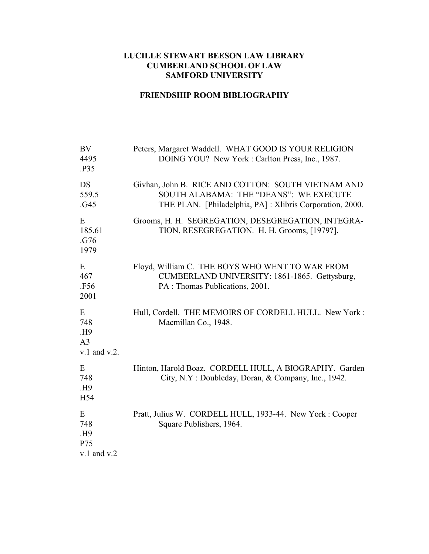## **LUCILLE STEWART BEESON LAW LIBRARY CUMBERLAND SCHOOL OF LAW SAMFORD UNIVERSITY**

## **FRIENDSHIP ROOM BIBLIOGRAPHY**

| <b>BV</b><br>4495<br>.P35                              | Peters, Margaret Waddell. WHAT GOOD IS YOUR RELIGION<br>DOING YOU? New York: Carlton Press, Inc., 1987.                                                  |
|--------------------------------------------------------|----------------------------------------------------------------------------------------------------------------------------------------------------------|
| <b>DS</b><br>559.5<br>.G45                             | Givhan, John B. RICE AND COTTON: SOUTH VIETNAM AND<br>SOUTH ALABAMA: THE "DEANS": WE EXECUTE<br>THE PLAN. [Philadelphia, PA]: Xlibris Corporation, 2000. |
| E<br>185.61<br>.G76<br>1979                            | Grooms, H. H. SEGREGATION, DESEGREGATION, INTEGRA-<br>TION, RESEGREGATION. H. H. Grooms, [1979?].                                                        |
| E<br>467<br>.F56<br>2001                               | Floyd, William C. THE BOYS WHO WENT TO WAR FROM<br>CUMBERLAND UNIVERSITY: 1861-1865. Gettysburg,<br>PA : Thomas Publications, 2001.                      |
| E<br>748<br>.H9<br>A <sub>3</sub><br>$v.1$ and $v.2$ . | Hull, Cordell. THE MEMOIRS OF CORDELL HULL. New York:<br>Macmillan Co., 1948.                                                                            |
| E<br>748<br>.H9<br>H <sub>54</sub>                     | Hinton, Harold Boaz. CORDELL HULL, A BIOGRAPHY. Garden<br>City, N.Y: Doubleday, Doran, & Company, Inc., 1942.                                            |
| E<br>748<br>H9.<br>P75<br>$v.1$ and $v.2$              | Pratt, Julius W. CORDELL HULL, 1933-44. New York: Cooper<br>Square Publishers, 1964.                                                                     |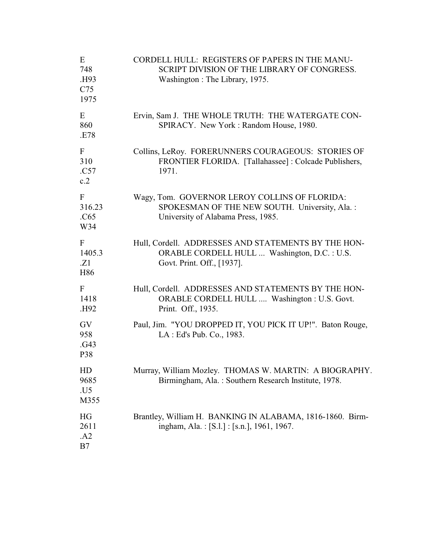| E<br>748<br>.H93<br>C <sub>75</sub><br>1975 | CORDELL HULL: REGISTERS OF PAPERS IN THE MANU-<br>SCRIPT DIVISION OF THE LIBRARY OF CONGRESS.<br>Washington: The Library, 1975.      |
|---------------------------------------------|--------------------------------------------------------------------------------------------------------------------------------------|
| E<br>860<br>.E78                            | Ervin, Sam J. THE WHOLE TRUTH: THE WATERGATE CON-<br>SPIRACY. New York: Random House, 1980.                                          |
| F<br>310<br>.C57<br>c.2                     | Collins, LeRoy. FORERUNNERS COURAGEOUS: STORIES OF<br>FRONTIER FLORIDA. [Tallahassee]: Colcade Publishers,<br>1971.                  |
| F<br>316.23<br>.C65<br>W34                  | Wagy, Tom. GOVERNOR LEROY COLLINS OF FLORIDA:<br>SPOKESMAN OF THE NEW SOUTH. University, Ala.:<br>University of Alabama Press, 1985. |
| F<br>1405.3<br>.Z1<br>H86                   | Hull, Cordell. ADDRESSES AND STATEMENTS BY THE HON-<br>ORABLE CORDELL HULL  Washington, D.C. : U.S.<br>Govt. Print. Off., [1937].    |
| F<br>1418<br>.H92                           | Hull, Cordell. ADDRESSES AND STATEMENTS BY THE HON-<br>ORABLE CORDELL HULL  Washington : U.S. Govt.<br>Print. Off., 1935.            |
| GV<br>958<br>.G43<br>P38                    | Paul, Jim. "YOU DROPPED IT, YOU PICK IT UP!". Baton Rouge,<br>LA : Ed's Pub. Co., 1983.                                              |
| HD<br>9685<br>.U5<br>M355                   | Murray, William Mozley. THOMAS W. MARTIN: A BIOGRAPHY.<br>Birmingham, Ala.: Southern Research Institute, 1978.                       |
| HG<br>2611<br>.A2<br>B7                     | Brantley, William H. BANKING IN ALABAMA, 1816-1860. Birm-<br>ingham, Ala.: [S.l.] : [s.n.], 1961, 1967.                              |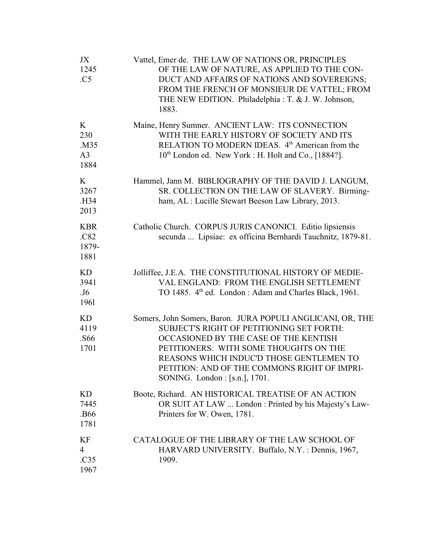| JX<br>1245<br>.C5                          | Vattel, Emer de. THE LAW OF NATIONS OR, PRINCIPLES<br>OF THE LAW OF NATURE, AS APPLIED TO THE CON-<br>DUCT AND AFFAIRS OF NATIONS AND SOVEREIGNS;<br>FROM THE FRENCH OF MONSIEUR DE VATTEL; FROM<br>THE NEW EDITION. Philadelphia: T. & J. W. Johnson,<br>1883.                                                          |
|--------------------------------------------|--------------------------------------------------------------------------------------------------------------------------------------------------------------------------------------------------------------------------------------------------------------------------------------------------------------------------|
| K<br>230<br>.M35<br>A <sub>3</sub><br>1884 | Maine, Henry Sumner. ANCIENT LAW: ITS CONNECTION<br>WITH THE EARLY HISTORY OF SOCIETY AND ITS<br>RELATION TO MODERN IDEAS. 4 <sup>th</sup> American from the<br>10 <sup>th</sup> London ed. New York : H. Holt and Co., [1884?].                                                                                         |
| K<br>3267<br>.H34<br>2013                  | Hammel, Jann M. BIBLIOGRAPHY OF THE DAVID J. LANGUM,<br>SR. COLLECTION ON THE LAW OF SLAVERY. Birming-<br>ham, AL : Lucille Stewart Beeson Law Library, 2013.                                                                                                                                                            |
| <b>KBR</b><br>.C82<br>1879-<br>1881        | Catholic Church. CORPUS JURIS CANONICI. Editio lipsiensis<br>secunda  Lipsiae: ex officina Bernhardi Tauchnitz, 1879-81.                                                                                                                                                                                                 |
| KD<br>3941<br>.J <sub>6</sub><br>1961      | Jolliffee, J.E.A. THE CONSTITUTIONAL HISTORY OF MEDIE-<br>VAL ENGLAND: FROM THE ENGLISH SETTLEMENT<br>TO 1485. 4 <sup>th</sup> ed. London: Adam and Charles Black, 1961.                                                                                                                                                 |
| <b>KD</b><br>4119<br>.S66<br>1701          | Somers, John Somers, Baron. JURA POPULI ANGLICANI, OR, THE<br>SUBJECT'S RIGHT OF PETITIONING SET FORTH:<br>OCCASIONED BY THE CASE OF THE KENTISH<br>PETITIONERS: WITH SOME THOUGHTS ON THE<br>REASONS WHICH INDUC'D THOSE GENTLEMEN TO<br>PETITION: AND OF THE COMMONS RIGHT OF IMPRI-<br>SONING. London : [s.n.], 1701. |
| <b>KD</b><br>7445<br>.B66<br>1781          | Boote, Richard. AN HISTORICAL TREATISE OF AN ACTION<br>OR SUIT AT LAW  London : Printed by his Majesty's Law-<br>Printers for W. Owen, 1781.                                                                                                                                                                             |
| KF<br>$\overline{4}$<br>.C35<br>1967       | CATALOGUE OF THE LIBRARY OF THE LAW SCHOOL OF<br>HARVARD UNIVERSITY. Buffalo, N.Y.: Dennis, 1967,<br>1909.                                                                                                                                                                                                               |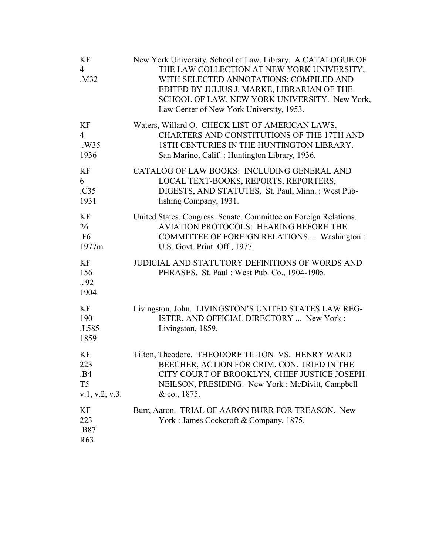| KF<br>$\overline{4}$<br>.M32 | New York University. School of Law. Library. A CATALOGUE OF<br>THE LAW COLLECTION AT NEW YORK UNIVERSITY,<br>WITH SELECTED ANNOTATIONS; COMPILED AND<br>EDITED BY JULIUS J. MARKE, LIBRARIAN OF THE<br>SCHOOL OF LAW, NEW YORK UNIVERSITY. New York,<br>Law Center of New York University, 1953. |
|------------------------------|--------------------------------------------------------------------------------------------------------------------------------------------------------------------------------------------------------------------------------------------------------------------------------------------------|
| KF                           | Waters, Willard O. CHECK LIST OF AMERICAN LAWS,                                                                                                                                                                                                                                                  |
| $\overline{4}$               | CHARTERS AND CONSTITUTIONS OF THE 17TH AND                                                                                                                                                                                                                                                       |
| .W35                         | 18TH CENTURIES IN THE HUNTINGTON LIBRARY.                                                                                                                                                                                                                                                        |
| 1936                         | San Marino, Calif.: Huntington Library, 1936.                                                                                                                                                                                                                                                    |
| KF                           | CATALOG OF LAW BOOKS: INCLUDING GENERAL AND                                                                                                                                                                                                                                                      |
| 6                            | LOCAL TEXT-BOOKS, REPORTS, REPORTERS,                                                                                                                                                                                                                                                            |
| .C35                         | DIGESTS, AND STATUTES. St. Paul, Minn.: West Pub-                                                                                                                                                                                                                                                |
| 1931                         | lishing Company, 1931.                                                                                                                                                                                                                                                                           |
| KF                           | United States. Congress. Senate. Committee on Foreign Relations.                                                                                                                                                                                                                                 |
| 26                           | <b>AVIATION PROTOCOLS: HEARING BEFORE THE</b>                                                                                                                                                                                                                                                    |
| <b>.F6</b>                   | COMMITTEE OF FOREIGN RELATIONS Washington:                                                                                                                                                                                                                                                       |
| 1977m                        | U.S. Govt. Print. Off., 1977.                                                                                                                                                                                                                                                                    |
| KF<br>156<br>.J92<br>1904    | JUDICIAL AND STATUTORY DEFINITIONS OF WORDS AND<br>PHRASES. St. Paul: West Pub. Co., 1904-1905.                                                                                                                                                                                                  |
| KF<br>190<br>.L585<br>1859   | Livingston, John. LIVINGSTON'S UNITED STATES LAW REG-<br>ISTER, AND OFFICIAL DIRECTORY  New York:<br>Livingston, 1859.                                                                                                                                                                           |
| KF                           | Tilton, Theodore. THEODORE TILTON VS. HENRY WARD                                                                                                                                                                                                                                                 |
| 223                          | BEECHER, ACTION FOR CRIM. CON. TRIED IN THE                                                                                                                                                                                                                                                      |
| .B4                          | CITY COURT OF BROOKLYN, CHIEF JUSTICE JOSEPH                                                                                                                                                                                                                                                     |
| T <sub>5</sub>               | NEILSON, PRESIDING. New York: McDivitt, Campbell                                                                                                                                                                                                                                                 |
| v.1, v.2, v.3.               | & co., 1875.                                                                                                                                                                                                                                                                                     |
| KF<br>223<br>.B87<br>R63     | Burr, Aaron. TRIAL OF AARON BURR FOR TREASON. New<br>York: James Cockcroft & Company, 1875.                                                                                                                                                                                                      |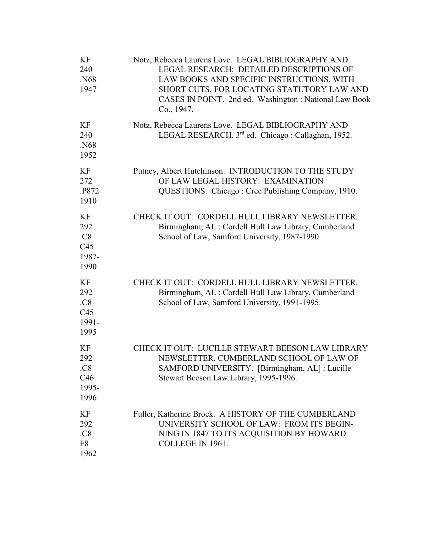| KF<br>240<br>.N68<br>1947                | Notz, Rebecca Laurens Love. LEGAL BIBLIOGRAPHY AND<br>LEGAL RESEARCH: DETAILED DESCRIPTIONS OF<br>LAW BOOKS AND SPECIFIC INSTRUCTIONS, WITH<br>SHORT CUTS, FOR LOCATING STATUTORY LAW AND<br>CASES IN POINT. 2nd ed. Washington: National Law Book<br>Co., 1947. |
|------------------------------------------|------------------------------------------------------------------------------------------------------------------------------------------------------------------------------------------------------------------------------------------------------------------|
| KF<br>240<br>.N68<br>1952                | Notz, Rebecca Laurens Love. LEGAL BIBLIOGRAPHY AND<br>LEGAL RESEARCH. 3rd ed. Chicago: Callaghan, 1952.                                                                                                                                                          |
| KF<br>272<br>.P872<br>1910               | Putney, Albert Hutchinson. INTRODUCTION TO THE STUDY<br>OF LAW LEGAL HISTORY: EXAMINATION<br>QUESTIONS. Chicago: Cree Publishing Company, 1910.                                                                                                                  |
| KF<br>292<br>.C8<br>C45<br>1987-<br>1990 | CHECK IT OUT: CORDELL HULL LIBRARY NEWSLETTER.<br>Birmingham, AL: Cordell Hull Law Library, Cumberland<br>School of Law, Samford University, 1987-1990.                                                                                                          |
| KF<br>292<br>.C8<br>C45<br>1991-<br>1995 | CHECK IT OUT: CORDELL HULL LIBRARY NEWSLETTER.<br>Birmingham, AL : Cordell Hull Law Library, Cumberland<br>School of Law, Samford University, 1991-1995.                                                                                                         |
| KF<br>292<br>.C8<br>C46<br>1995-<br>1996 | CHECK IT OUT: LUCILLE STEWART BEESON LAW LIBRARY<br>NEWSLETTER, CUMBERLAND SCHOOL OF LAW OF<br>SAMFORD UNIVERSITY. [Birmingham, AL] : Lucille<br>Stewart Beeson Law Library, 1995-1996.                                                                          |
| KF<br>292<br>.C8<br>F8<br>1962           | Fuller, Katherine Brock. A HISTORY OF THE CUMBERLAND<br>UNIVERSITY SCHOOL OF LAW: FROM ITS BEGIN-<br>NING IN 1847 TO ITS ACQUISITION BY HOWARD<br>COLLEGE IN 1961.                                                                                               |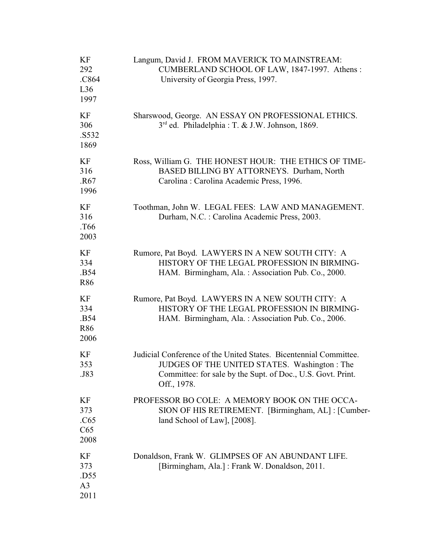| KF<br>292<br>.C864<br>L36<br>1997           | Langum, David J. FROM MAVERICK TO MAINSTREAM:<br>CUMBERLAND SCHOOL OF LAW, 1847-1997. Athens:<br>University of Georgia Press, 1997.                                                             |
|---------------------------------------------|-------------------------------------------------------------------------------------------------------------------------------------------------------------------------------------------------|
| KF<br>306<br>.S532<br>1869                  | Sharswood, George. AN ESSAY ON PROFESSIONAL ETHICS.<br>3 <sup>rd</sup> ed. Philadelphia : T. & J.W. Johnson, 1869.                                                                              |
| KF<br>316<br>.R <sub>67</sub><br>1996       | Ross, William G. THE HONEST HOUR: THE ETHICS OF TIME-<br>BASED BILLING BY ATTORNEYS. Durham, North<br>Carolina: Carolina Academic Press, 1996.                                                  |
| KF<br>316<br>T <sub>66</sub> .<br>2003      | Toothman, John W. LEGAL FEES: LAW AND MANAGEMENT.<br>Durham, N.C.: Carolina Academic Press, 2003.                                                                                               |
| KF<br>334<br>.B54<br>R86                    | Rumore, Pat Boyd. LAWYERS IN A NEW SOUTH CITY: A<br>HISTORY OF THE LEGAL PROFESSION IN BIRMING-<br>HAM. Birmingham, Ala.: Association Pub. Co., 2000.                                           |
| KF<br>334<br>.B54<br><b>R86</b><br>2006     | Rumore, Pat Boyd. LAWYERS IN A NEW SOUTH CITY: A<br>HISTORY OF THE LEGAL PROFESSION IN BIRMING-<br>HAM. Birmingham, Ala.: Association Pub. Co., 2006.                                           |
| KF<br>353<br>.J83                           | Judicial Conference of the United States. Bicentennial Committee.<br>JUDGES OF THE UNITED STATES. Washington: The<br>Committee: for sale by the Supt. of Doc., U.S. Govt. Print.<br>Off., 1978. |
| KF<br>373<br>.C65<br>C65<br>2008            | PROFESSOR BO COLE: A MEMORY BOOK ON THE OCCA-<br>SION OF HIS RETIREMENT. [Birmingham, AL] : [Cumber-<br>land School of Law], [2008].                                                            |
| KF<br>373<br>.D55<br>A <sub>3</sub><br>2011 | Donaldson, Frank W. GLIMPSES OF AN ABUNDANT LIFE.<br>[Birmingham, Ala.]: Frank W. Donaldson, 2011.                                                                                              |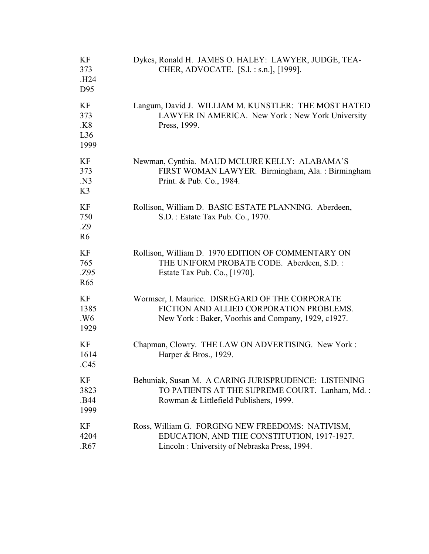| KF<br>373<br>.H <sub>24</sub><br>D95 | Dykes, Ronald H. JAMES O. HALEY: LAWYER, JUDGE, TEA-<br>CHER, ADVOCATE. [S.l. : s.n.], [1999].                                                    |
|--------------------------------------|---------------------------------------------------------------------------------------------------------------------------------------------------|
| KF<br>373<br>.K8<br>L36<br>1999      | Langum, David J. WILLIAM M. KUNSTLER: THE MOST HATED<br>LAWYER IN AMERICA. New York: New York University<br>Press, 1999.                          |
| KF<br>373<br>.N3<br>K3               | Newman, Cynthia. MAUD MCLURE KELLY: ALABAMA'S<br>FIRST WOMAN LAWYER. Birmingham, Ala.: Birmingham<br>Print. & Pub. Co., 1984.                     |
| KF<br>750<br>.Z9<br>R <sub>6</sub>   | Rollison, William D. BASIC ESTATE PLANNING. Aberdeen,<br>S.D. : Estate Tax Pub. Co., 1970.                                                        |
| KF<br>765<br>.Z95<br>R <sub>65</sub> | Rollison, William D. 1970 EDITION OF COMMENTARY ON<br>THE UNIFORM PROBATE CODE. Aberdeen, S.D.:<br>Estate Tax Pub. Co., [1970].                   |
| KF<br>1385<br>.W6<br>1929            | Wormser, I. Maurice. DISREGARD OF THE CORPORATE<br>FICTION AND ALLIED CORPORATION PROBLEMS.<br>New York: Baker, Voorhis and Company, 1929, c1927. |
| KF<br>1614<br>.C45                   | Chapman, Clowry. THE LAW ON ADVERTISING. New York:<br>Harper & Bros., 1929.                                                                       |
| KF<br>3823<br>.B44<br>1999           | Behuniak, Susan M. A CARING JURISPRUDENCE: LISTENING<br>TO PATIENTS AT THE SUPREME COURT. Lanham, Md.:<br>Rowman & Littlefield Publishers, 1999.  |
| KF<br>4204<br>.R <sub>67</sub>       | Ross, William G. FORGING NEW FREEDOMS: NATIVISM,<br>EDUCATION, AND THE CONSTITUTION, 1917-1927.<br>Lincoln: University of Nebraska Press, 1994.   |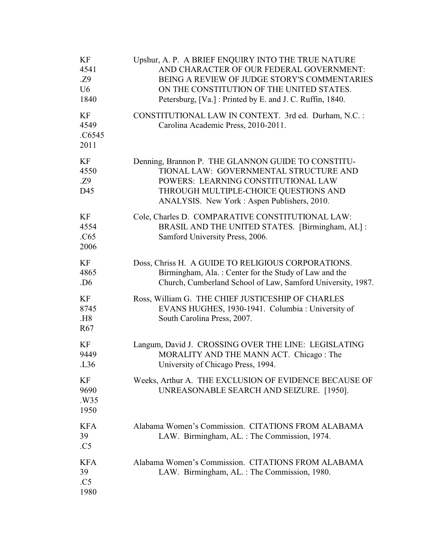| KF<br>4541<br>.Z9<br>U <sub>6</sub><br>1840 | Upshur, A. P. A BRIEF ENQUIRY INTO THE TRUE NATURE<br>AND CHARACTER OF OUR FEDERAL GOVERNMENT:<br>BEING A REVIEW OF JUDGE STORY'S COMMENTARIES<br>ON THE CONSTITUTION OF THE UNITED STATES.<br>Petersburg, [Va.] : Printed by E. and J. C. Ruffin, 1840. |
|---------------------------------------------|----------------------------------------------------------------------------------------------------------------------------------------------------------------------------------------------------------------------------------------------------------|
| KF<br>4549<br>.C6545<br>2011                | CONSTITUTIONAL LAW IN CONTEXT. 3rd ed. Durham, N.C.:<br>Carolina Academic Press, 2010-2011.                                                                                                                                                              |
| KF<br>4550<br>.Z9<br>D45                    | Denning, Brannon P. THE GLANNON GUIDE TO CONSTITU-<br>TIONAL LAW: GOVERNMENTAL STRUCTURE AND<br>POWERS: LEARNING CONSTITUTIONAL LAW<br>THROUGH MULTIPLE-CHOICE QUESTIONS AND<br>ANALYSIS. New York: Aspen Publishers, 2010.                              |
| KF<br>4554<br>.C65<br>2006                  | Cole, Charles D. COMPARATIVE CONSTITUTIONAL LAW:<br>BRASIL AND THE UNITED STATES. [Birmingham, AL]:<br>Samford University Press, 2006.                                                                                                                   |
| KF<br>4865<br>.D <sub>6</sub>               | Doss, Chriss H. A GUIDE TO RELIGIOUS CORPORATIONS.<br>Birmingham, Ala.: Center for the Study of Law and the<br>Church, Cumberland School of Law, Samford University, 1987.                                                                               |
| KF<br>8745<br><b>H8</b><br>R <sub>67</sub>  | Ross, William G. THE CHIEF JUSTICESHIP OF CHARLES<br>EVANS HUGHES, 1930-1941. Columbia: University of<br>South Carolina Press, 2007.                                                                                                                     |
| KF<br>9449<br>.L <sub>36</sub>              | Langum, David J. CROSSING OVER THE LINE: LEGISLATING<br>MORALITY AND THE MANN ACT. Chicago: The<br>University of Chicago Press, 1994.                                                                                                                    |
| KF<br>9690<br>.W35<br>1950                  | Weeks, Arthur A. THE EXCLUSION OF EVIDENCE BECAUSE OF<br>UNREASONABLE SEARCH AND SEIZURE. [1950].                                                                                                                                                        |
| <b>KFA</b><br>39<br>.C5                     | Alabama Women's Commission. CITATIONS FROM ALABAMA<br>LAW. Birmingham, AL.: The Commission, 1974.                                                                                                                                                        |
| <b>KFA</b><br>39<br>.C5<br>1980             | Alabama Women's Commission. CITATIONS FROM ALABAMA<br>LAW. Birmingham, AL.: The Commission, 1980.                                                                                                                                                        |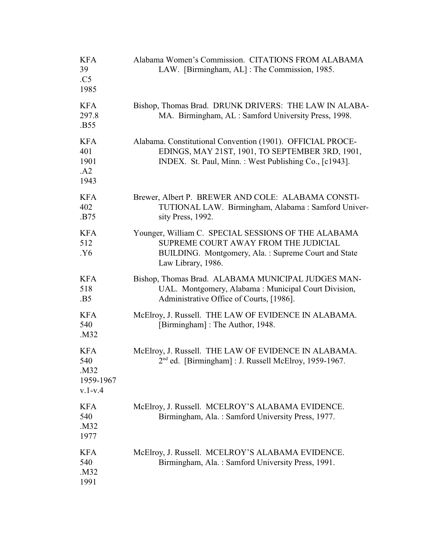| <b>KFA</b><br>39<br>.C5<br>1985                     | Alabama Women's Commission. CITATIONS FROM ALABAMA<br>LAW. [Birmingham, AL]: The Commission, 1985.                                                                       |
|-----------------------------------------------------|--------------------------------------------------------------------------------------------------------------------------------------------------------------------------|
| <b>KFA</b><br>297.8<br>.B55                         | Bishop, Thomas Brad. DRUNK DRIVERS: THE LAW IN ALABA-<br>MA. Birmingham, AL: Samford University Press, 1998.                                                             |
| <b>KFA</b><br>401<br>1901<br>.A2<br>1943            | Alabama. Constitutional Convention (1901). OFFICIAL PROCE-<br>EDINGS, MAY 21ST, 1901, TO SEPTEMBER 3RD, 1901,<br>INDEX. St. Paul, Minn.: West Publishing Co., [c1943].   |
| <b>KFA</b><br>402<br>.B75                           | Brewer, Albert P. BREWER AND COLE: ALABAMA CONSTI-<br>TUTIONAL LAW. Birmingham, Alabama: Samford Univer-<br>sity Press, 1992.                                            |
| <b>KFA</b><br>512<br>Y6.                            | Younger, William C. SPECIAL SESSIONS OF THE ALABAMA<br>SUPREME COURT AWAY FROM THE JUDICIAL<br>BUILDING. Montgomery, Ala.: Supreme Court and State<br>Law Library, 1986. |
| <b>KFA</b><br>518<br>.B5                            | Bishop, Thomas Brad. ALABAMA MUNICIPAL JUDGES MAN-<br>UAL. Montgomery, Alabama: Municipal Court Division,<br>Administrative Office of Courts, [1986].                    |
| <b>KFA</b><br>540<br>.M32                           | McElroy, J. Russell. THE LAW OF EVIDENCE IN ALABAMA.<br>[Birmingham]: The Author, 1948.                                                                                  |
| <b>KFA</b><br>540<br>.M32<br>1959-1967<br>$v.1-v.4$ | McElroy, J. Russell. THE LAW OF EVIDENCE IN ALABAMA.<br>$2nd$ ed. [Birmingham] : J. Russell McElroy, 1959-1967.                                                          |
| <b>KFA</b><br>540<br>.M32<br>1977                   | McElroy, J. Russell. MCELROY'S ALABAMA EVIDENCE.<br>Birmingham, Ala.: Samford University Press, 1977.                                                                    |
| <b>KFA</b><br>540<br>.M32<br>1991                   | McElroy, J. Russell. MCELROY'S ALABAMA EVIDENCE.<br>Birmingham, Ala.: Samford University Press, 1991.                                                                    |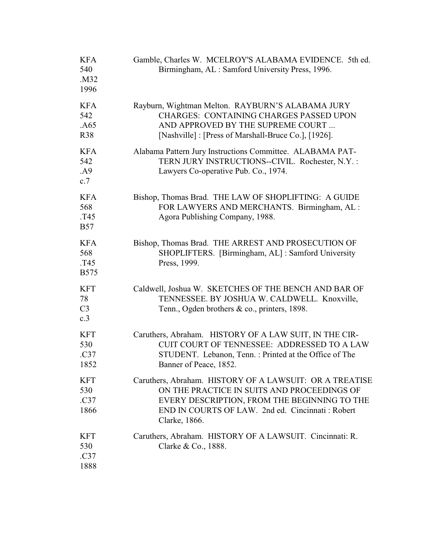| <b>KFA</b><br>540<br>.M32<br>1996         | Gamble, Charles W. MCELROY'S ALABAMA EVIDENCE. 5th ed.<br>Birmingham, AL: Samford University Press, 1996.                                                                                                                   |
|-------------------------------------------|-----------------------------------------------------------------------------------------------------------------------------------------------------------------------------------------------------------------------------|
| <b>KFA</b><br>542<br>.A65<br><b>R38</b>   | Rayburn, Wightman Melton. RAYBURN'S ALABAMA JURY<br><b>CHARGES: CONTAINING CHARGES PASSED UPON</b><br>AND APPROVED BY THE SUPREME COURT<br>[Nashville] : [Press of Marshall-Bruce Co.], [1926].                             |
| <b>KFA</b><br>542<br>.A9<br>c.7           | Alabama Pattern Jury Instructions Committee. ALABAMA PAT-<br>TERN JURY INSTRUCTIONS--CIVIL. Rochester, N.Y.:<br>Lawyers Co-operative Pub. Co., 1974.                                                                        |
| <b>KFA</b><br>568<br>T45.<br><b>B57</b>   | Bishop, Thomas Brad. THE LAW OF SHOPLIFTING: A GUIDE<br>FOR LAWYERS AND MERCHANTS. Birmingham, AL:<br>Agora Publishing Company, 1988.                                                                                       |
| <b>KFA</b><br>568<br>T45.<br><b>B575</b>  | Bishop, Thomas Brad. THE ARREST AND PROSECUTION OF<br>SHOPLIFTERS. [Birmingham, AL]: Samford University<br>Press, 1999.                                                                                                     |
| <b>KFT</b><br>78<br>C <sub>3</sub><br>c.3 | Caldwell, Joshua W. SKETCHES OF THE BENCH AND BAR OF<br>TENNESSEE. BY JOSHUA W. CALDWELL. Knoxville,<br>Tenn., Ogden brothers & co., printers, 1898.                                                                        |
| <b>KFT</b><br>530<br>.C37<br>1852         | Caruthers, Abraham. HISTORY OF A LAW SUIT, IN THE CIR-<br>CUIT COURT OF TENNESSEE: ADDRESSED TO A LAW<br>STUDENT. Lebanon, Tenn.: Printed at the Office of The<br>Banner of Peace, 1852.                                    |
| <b>KFT</b><br>530<br>.C37<br>1866         | Caruthers, Abraham. HISTORY OF A LAWSUIT: OR A TREATISE<br>ON THE PRACTICE IN SUITS AND PROCEEDINGS OF<br>EVERY DESCRIPTION, FROM THE BEGINNING TO THE<br>END IN COURTS OF LAW. 2nd ed. Cincinnati: Robert<br>Clarke, 1866. |
| <b>KFT</b><br>530<br>.C37<br>1888         | Caruthers, Abraham. HISTORY OF A LAWSUIT. Cincinnati: R.<br>Clarke & Co., 1888.                                                                                                                                             |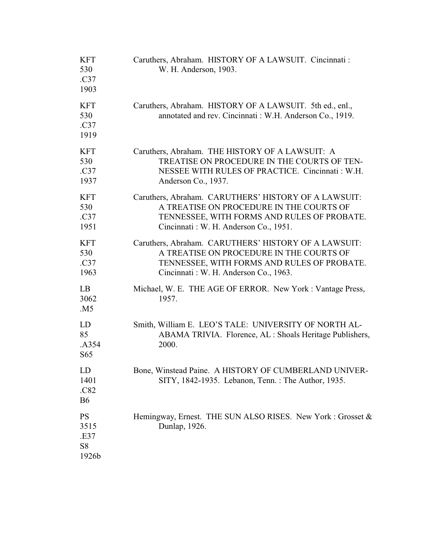| KFT<br>530<br>.C37<br>1903                           | Caruthers, Abraham. HISTORY OF A LAWSUIT. Cincinnati :<br>W. H. Anderson, 1903.                                                                                                           |
|------------------------------------------------------|-------------------------------------------------------------------------------------------------------------------------------------------------------------------------------------------|
| <b>KFT</b><br>530<br>.C37<br>1919                    | Caruthers, Abraham. HISTORY OF A LAWSUIT. 5th ed., enl.,<br>annotated and rev. Cincinnati : W.H. Anderson Co., 1919.                                                                      |
| <b>KFT</b><br>530<br>.C37<br>1937                    | Caruthers, Abraham. THE HISTORY OF A LAWSUIT: A<br>TREATISE ON PROCEDURE IN THE COURTS OF TEN-<br>NESSEE WITH RULES OF PRACTICE. Cincinnati: W.H.<br>Anderson Co., 1937.                  |
| <b>KFT</b><br>530<br>.C37<br>1951                    | Caruthers, Abraham. CARUTHERS' HISTORY OF A LAWSUIT:<br>A TREATISE ON PROCEDURE IN THE COURTS OF<br>TENNESSEE, WITH FORMS AND RULES OF PROBATE.<br>Cincinnati : W. H. Anderson Co., 1951. |
| <b>KFT</b><br>530<br>.C37<br>1963                    | Caruthers, Abraham. CARUTHERS' HISTORY OF A LAWSUIT:<br>A TREATISE ON PROCEDURE IN THE COURTS OF<br>TENNESSEE, WITH FORMS AND RULES OF PROBATE.<br>Cincinnati : W. H. Anderson Co., 1963. |
| LB<br>3062<br>.M5                                    | Michael, W. E. THE AGE OF ERROR. New York: Vantage Press,<br>1957.                                                                                                                        |
| LD<br>85<br>.A354<br>S <sub>65</sub>                 | Smith, William E. LEO'S TALE: UNIVERSITY OF NORTH AL-<br>ABAMA TRIVIA. Florence, AL : Shoals Heritage Publishers,<br>2000.                                                                |
| LD<br>1401<br>.C82<br><b>B6</b>                      | Bone, Winstead Paine. A HISTORY OF CUMBERLAND UNIVER-<br>SITY, 1842-1935. Lebanon, Tenn.: The Author, 1935.                                                                               |
| <b>PS</b><br>3515<br>.E37<br>S <sub>8</sub><br>1926b | Hemingway, Ernest. THE SUN ALSO RISES. New York: Grosset &<br>Dunlap, 1926.                                                                                                               |